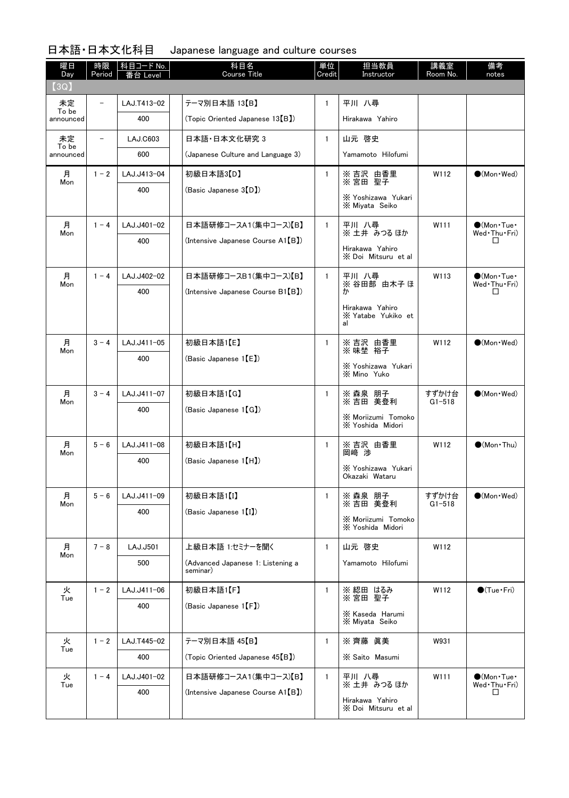| 曜日<br>Day   | 時限<br>Period             | 科目コード No.<br>≸台 Level | 科目名<br><b>Course Title</b>                    | 単位<br>Credit | 担当教員<br>Instructor                            | 講義室<br>Room No.     | 備考<br>notes                                 |
|-------------|--------------------------|-----------------------|-----------------------------------------------|--------------|-----------------------------------------------|---------------------|---------------------------------------------|
| (3Q)        |                          |                       |                                               |              |                                               |                     |                                             |
| 未定<br>To be |                          | LAJ.T413-02           | テーマ別日本語 13【B】                                 | $\mathbf{1}$ | 平川 八尋                                         |                     |                                             |
| announced   |                          | 400                   | (Topic Oriented Japanese 13 <sup>(B)</sup>    |              | Hirakawa Yahiro                               |                     |                                             |
| 未定<br>To be | $\overline{\phantom{0}}$ | <b>LAJ.C603</b>       | 日本語·日本文化研究 3                                  | $\mathbf{1}$ | 山元 啓史                                         |                     |                                             |
| announced   |                          | 600                   | (Japanese Culture and Language 3)             |              | Yamamoto Hilofumi                             |                     |                                             |
| 月<br>Mon    | $1 - 2$                  | LAJ.J413-04           | 初級日本語3【D】                                     | $\mathbf{1}$ | ※ 吉沢 由香里<br>※ 宮田 聖子                           | W112                | $\bigcirc$ (Mon · Wed)                      |
|             |                          | 400                   | (Basic Japanese 3(D)                          |              | X Yoshizawa Yukari<br>X Miyata Seiko          |                     |                                             |
| 月<br>Mon    | $1 - 4$                  | LAJ.J401-02           | 日本語研修コースA1(集中コース)【B】                          | $\mathbf{1}$ | 平川 八尋<br>※ 土井 みつる ほか                          | W111                | $\bigcirc$ (Mon Tue $\cdot$<br>Wed Thu Fri) |
|             |                          | 400                   | (Intensive Japanese Course A1(B))             |              | Hirakawa Yahiro<br>X Doi Mitsuru et al        |                     | □                                           |
| 月<br>Mon    | $1 - 4$                  | LAJ.J402-02           | 日本語研修コースB1(集中コース)【B】                          | $\mathbf{1}$ | 平川 八尋<br>※ 谷田部 由木子 ほ                          | W113                | $\bigcirc$ (Mon Tue $\cdot$<br>Wed Thu Fri) |
|             |                          | 400                   | (Intensive Japanese Course B1(B))             |              | ħ١                                            |                     | □                                           |
|             |                          |                       |                                               |              | Hirakawa Yahiro<br>X Yatabe Yukiko et<br>al   |                     |                                             |
| 月<br>Mon    | $3 - 4$                  | LAJ.J411-05           | 初級日本語1【E】                                     | 1            | ※吉沢 由香里<br>※味埜 裕子                             | W112                | $\bullet$ (Mon · Wed)                       |
|             |                          | 400                   | (Basic Japanese $1(E)$ )                      |              | X Yoshizawa Yukari<br>X Mino Yuko             |                     |                                             |
| 月           | $3 - 4$                  | LAJ.J411-07           | 初級日本語1【G】                                     | $\mathbf{1}$ | ※ 森泉 朋子<br>※ 吉田 美登利                           | すずかけ台               | $\bigcirc$ (Mon · Wed)                      |
| Mon         |                          | 400                   | (Basic Japanese 1【G】)                         |              | <b>X Moriizumi Tomoko</b><br>X Yoshida Midori | $G1 - 518$          |                                             |
| 月<br>Mon    | $5 - 6$                  | LAJ.J411-08           | 初級日本語1【H】                                     | $\mathbf{1}$ | ※ 吉沢 由香里<br>岡﨑 渉                              | W112                | $\bigcirc$ (Mon · Thu)                      |
|             |                          | 400                   | (Basic Japanese 1 [H])                        |              | X Yoshizawa Yukari<br>Okazaki Wataru          |                     |                                             |
| 月<br>Mon    | $5 - 6$                  | LAJ.J411-09           | 初級日本語1【I】                                     | $\mathbf{1}$ | ※ 森泉 朋子<br>※ 吉田 美登利                           | すずかけ台<br>$G1 - 518$ | $\bullet$ (Mon · Wed)                       |
|             |                          | 400                   | (Basic Japanese 1 <sup>[1]</sup> )            |              | <b>X Moriizumi Tomoko</b><br>X Yoshida Midori |                     |                                             |
| 月<br>Mon    | $7 - 8$                  | LAJ.J501              | 上級日本語 1:セミナーを聞く                               | $\mathbf{1}$ | 山元 啓史                                         | W112                |                                             |
|             |                          | 500                   | (Advanced Japanese 1: Listening a<br>seminar) |              | Yamamoto Hilofumi                             |                     |                                             |
| 火<br>Tue    | $1 - 2$                  | LAJ.J411-06           | 初級日本語1【F】                                     | $\mathbf{1}$ | ※ 綛田 はるみ<br>※ 宮田<br>聖子                        | W112                | $\bigcirc$ (Tue · Fri)                      |
|             |                          | 400                   | (Basic Japanese 1 [F])                        |              | X Kaseda Harumi<br>X Miyata Seiko             |                     |                                             |
| 火           | $1 - 2$                  | LAJ.T445-02           | テーマ別日本語 45【B】                                 | $\mathbf{1}$ | ※ 齊藤 眞美                                       | W931                |                                             |
| Tue         |                          | 400                   | (Topic Oriented Japanese 45[B])               |              | X Saito Masumi                                |                     |                                             |
| 火<br>Tue    | $1 - 4$                  | LAJ.J401-02           | 日本語研修コースA1(集中コース)【B】                          | $\mathbf{1}$ | 平川 八尋<br>※ 土井 みつる ほか                          | W111                | $\bigcirc$ (Mon Tue $\cdot$<br>Wed Thu Fri) |
|             |                          | 400                   | (Intensive Japanese Course A1(B))             |              | Hirakawa Yahiro<br>X Doi Mitsuru et al        |                     | □                                           |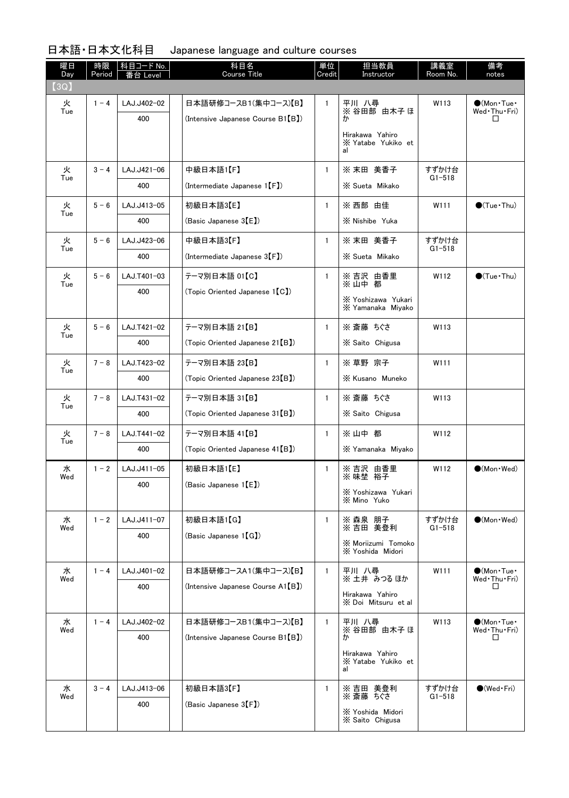| 曜日<br>Day | 時限<br>Period | 科目コード No.<br>Level | 科目名<br><b>Course Title</b>                   | 単位<br>Credit | 担当教員<br>Instructor                          | 講義室<br>Room No. | 備考<br>notes                                        |
|-----------|--------------|--------------------|----------------------------------------------|--------------|---------------------------------------------|-----------------|----------------------------------------------------|
| (3Q)      |              |                    |                                              |              |                                             |                 |                                                    |
| 火<br>Tue  | $1 - 4$      | LAJ.J402-02        | 日本語研修コースB1(集中コース)【B】                         | $\mathbf{1}$ | 平川 八尋<br>※ 谷田部 由木子 ほ                        | W113            | $\bigcirc$ (Mon•Tue•<br>Wed Thu Fri)               |
|           |              | 400                | (Intensive Japanese Course B1(B))            |              | ゕ                                           |                 | □                                                  |
|           |              |                    |                                              |              | Hirakawa Yahiro<br>X Yatabe Yukiko et<br>al |                 |                                                    |
| 火         | $3 - 4$      | LAJ.J421-06        | 中級日本語1【F】                                    | $\mathbf{1}$ | ※ 末田 美香子                                    | すずかけ台           |                                                    |
| Tue       |              | 400                | (Intermediate Japanese 1(F))                 |              | X Sueta Mikako                              | $G1 - 518$      |                                                    |
| 火<br>Tue  | $5 - 6$      | LAJ.J413-05        | 初級日本語3【E】                                    | $\mathbf{1}$ | ※ 西部 由佳                                     | W111            | $\bigcirc$ (Tue · Thu)                             |
|           |              | 400                | (Basic Japanese $3(E)$ )                     |              | X Nishibe Yuka                              |                 |                                                    |
| 火<br>Tue  | $5 - 6$      | LAJ.J423-06        | 中級日本語3【F】                                    | $\mathbf{1}$ | ※ 末田 美香子                                    | すずかけ台           |                                                    |
|           |              | 400                | $(Internet)$ apanese $3(F)$                  |              | X Sueta Mikako                              | $G1 - 518$      |                                                    |
| 火<br>Tue  | $5 - 6$      | LAJ.T401-03        | テーマ別日本語 01【C】                                | $\mathbf{1}$ | ※吉沢 由香里<br>※山中都                             | W112            | $\bigcirc$ (Tue · Thu)                             |
|           |              | 400                | (Topic Oriented Japanese 1 [C])              |              | X Yoshizawa Yukari<br>X Yamanaka Miyako     |                 |                                                    |
| 火         | $5 - 6$      | LAJ.T421-02        | テーマ別日本語 21【B】                                | $\mathbf{1}$ | ※ 斎藤 ちぐさ                                    | W113            |                                                    |
| Tue       |              | 400                | (Topic Oriented Japanese 21 [B])             |              | X Saito Chigusa                             |                 |                                                    |
| 火         | $7 - 8$      | LAJ.T423-02        | テーマ別日本語 23【B】                                | $\mathbf{1}$ | ※ 草野 宗子                                     | W111            |                                                    |
| Tue       |              | 400                | (Topic Oriented Japanese 23 <sup>[B]</sup> ) |              | X Kusano Muneko                             |                 |                                                    |
| 火<br>Tue  | $7 - 8$      | LAJ.T431-02        | テーマ別日本語 31【B】                                | $\mathbf{1}$ | ※ 斎藤 ちぐさ                                    | W113            |                                                    |
|           |              | 400                | (Topic Oriented Japanese 31 [B])             |              | X Saito Chigusa                             |                 |                                                    |
| 火<br>Tue  | $7 - 8$      | LAJ.T441-02        | テーマ別日本語 41【B】                                | $\mathbf{1}$ | ※山中 都                                       | W112            |                                                    |
|           |              | 400                | (Topic Oriented Japanese 41 [B])             |              | X Yamanaka Miyako                           |                 |                                                    |
| 水<br>Wed  | $1 - 2$      | LAJ.J411-05        | 初級日本語1【E】                                    | 1            | ※ 吉沢 由香里<br>※ 味埜 裕子                         | W112            | $\bigcirc$ (Mon · Wed)                             |
|           |              | 400                | (Basic Japanese 1【E】)                        |              | X Yoshizawa Yukari<br>X Mino Yuko           |                 |                                                    |
| 水         | $1 - 2$      | LAJ.J411-07        | 初級日本語1【G】                                    | $\mathbf{1}$ | ※ 森泉 朋子                                     | すずかけ台           | $\bullet$ (Mon · Wed)                              |
| Wed       |              | 400                | (Basic Japanese 1[G])                        |              | ※吉田 美登利<br><b>X Moriizumi Tomoko</b>        | $G1 - 518$      |                                                    |
|           |              |                    |                                              |              | X Yoshida Midori                            |                 |                                                    |
| 水<br>Wed  | $1 - 4$      | LAJ.J401-02        | 日本語研修コースA1(集中コース)【B】                         | $\mathbf{1}$ | 平川 八尋<br>※土井 みつるほか                          | W111            | $\bullet$ (Mon $\cdot$ Tue $\cdot$<br>Wed Thu Fri) |
|           |              | 400                | (Intensive Japanese Course A1(B))            |              | Hirakawa Yahiro                             |                 | ◻                                                  |
|           |              |                    |                                              |              | X Doi Mitsuru et al                         |                 |                                                    |
| 水<br>Wed  | $1 - 4$      | LAJ.J402-02        | 日本語研修コースB1(集中コース)【B】                         | $\mathbf{1}$ | 平川 八尋<br>※ 谷田部 由木子 ほ                        | W113            | $\bullet$ (Mon·Tue·<br>Wed Thu Fri)                |
|           |              | 400                | (Intensive Japanese Course B1(B))            |              | ゕ                                           |                 | □                                                  |
|           |              |                    |                                              |              | Hirakawa Yahiro<br>X Yatabe Yukiko et<br>al |                 |                                                    |
| 水         | $3 - 4$      | LAJ.J413-06        | 初級日本語3【F】                                    | $\mathbf{1}$ | ※ 吉田 美登利<br>※ 斎藤 ちぐさ                        | すずかけ台           | $\bigcirc$ (Wed•Fri)                               |
| Wed       |              | 400                | (Basic Japanese 3(F))                        |              | X Yoshida Midori                            | $G1 - 518$      |                                                    |
|           |              |                    |                                              |              | X Saito Chigusa                             |                 |                                                    |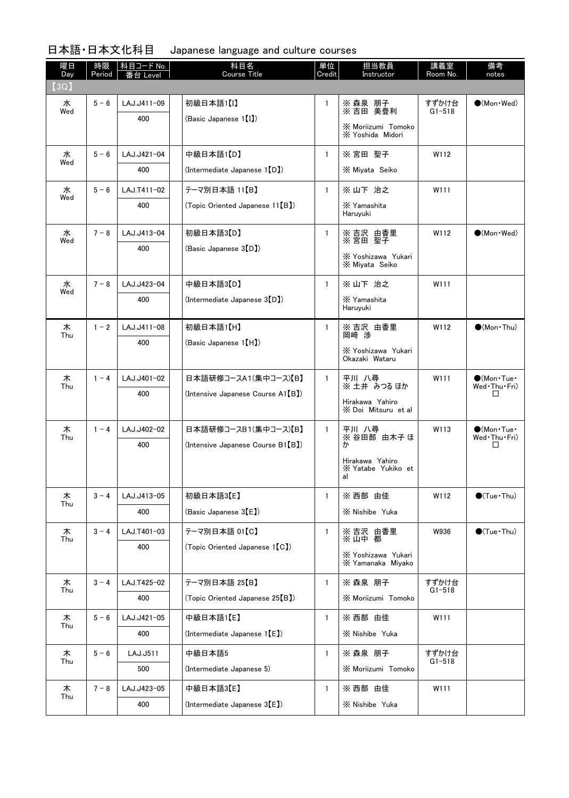| 曜日<br>Day | 時限<br>Period | │科目コード No. │<br>Level | 科目名<br><b>Course Title</b>                | 単位<br>Credit | 担当教員<br>Instructor                          | 講義室<br>Room No.     | 備考<br>notes                                         |
|-----------|--------------|-----------------------|-------------------------------------------|--------------|---------------------------------------------|---------------------|-----------------------------------------------------|
| (3Q)      |              |                       |                                           |              |                                             |                     |                                                     |
| 水<br>Wed  | $5 - 6$      | LAJ.J411-09           | 初級日本語1【I】                                 | $\mathbf{1}$ | ※ 森泉 朋子<br>※ 吉田 美登利                         | すずかけ台<br>$G1 - 518$ | $\bigcirc$ (Mon · Wed)                              |
|           |              | 400                   | (Basic Japanese 1 <sup>[1]</sup> )        |              | ※ Moriizumi Tomoko<br>X Yoshida Midori      |                     |                                                     |
| 水         | $5 - 6$      | LAJ.J421-04           | 中級日本語1【D】                                 | $\mathbf{1}$ | ※ 宮田 聖子                                     | W112                |                                                     |
| Wed       |              | 400                   | (Intermediate Japanese 1[D])              |              | X Miyata Seiko                              |                     |                                                     |
| 水<br>Wed  | $5 - 6$      | LAJ.T411-02           | テーマ別日本語 11【B】                             | $\mathbf{1}$ | ※ 山下 治之                                     | W111                |                                                     |
|           |              | 400                   | (Topic Oriented Japanese 11 [B])          |              | X Yamashita<br>Haruyuki                     |                     |                                                     |
| 水<br>Wed  | $7 - 8$      | LAJ.J413-04           | 初級日本語3【D】                                 | $\mathbf{1}$ | ※ 吉沢 由香里<br>※ 宮田 聖子                         | W112                | $\bullet$ (Mon · Wed)                               |
|           |              | 400                   | (Basic Japanese 3(D)                      |              | X Yoshizawa Yukari<br>X Miyata Seiko        |                     |                                                     |
| 水         | $7 - 8$      | LAJ.J423-04           | 中級日本語3【D】                                 | $\mathbf{1}$ | ※山下 治之                                      | W111                |                                                     |
| Wed       |              | 400                   | (Intermediate Japanese 3(D))              |              | X Yamashita<br>Haruyuki                     |                     |                                                     |
| 木<br>Thu  | $1 - 2$      | LAJ.J411-08           | 初級日本語1【H】                                 | 1            | ※吉沢 由香里<br>岡崎 渉                             | W112                | $\bigcirc$ (Mon · Thu)                              |
|           |              | 400                   | (Basic Japanese 1 [H])                    |              | X Yoshizawa Yukari<br>Okazaki Wataru        |                     |                                                     |
| 木<br>Thu  | $1 - 4$      | LAJ.J401-02           | 日本語研修コースA1(集中コース)【B】                      | $\mathbf{1}$ | 平川 八尋<br>※ 土井 みつる ほか                        | W111                | $\bigcirc$ (Mon $\cdot$ Tue $\cdot$<br>Wed Thu Fri) |
|           |              | 400                   | (Intensive Japanese Course A1(B))         |              | Hirakawa Yahiro<br>X Doi Mitsuru et al      |                     | $\Box$                                              |
| 木<br>Thu  | $1 - 4$      | LAJ.J402-02           | 日本語研修コースB1(集中コース)【B】                      | $\mathbf{1}$ | 平川 八尋<br>※ 谷田部 由木子 ほ                        | W113                | $\bigcirc$ (Mon $\cdot$ Tue $\cdot$<br>Wed Thu Fri) |
|           |              | 400                   | (Intensive Japanese Course B1(B))         |              | ゕ                                           |                     | □                                                   |
|           |              |                       |                                           |              | Hirakawa Yahiro<br>X Yatabe Yukiko et<br>al |                     |                                                     |
| 木<br>Thu  | $3 - 4$      | LAJ.J413-05           | 初級日本語3【E】                                 | $\mathbf{1}$ | ※ 西部 由佳                                     | W112                | $\bigcirc$ (Tue · Thu)                              |
|           |              | 400                   | (Basic Japanese 3 <sup>[E]</sup> )        |              | X Nishibe Yuka                              |                     |                                                     |
| 木<br>Thu  | $3 - 4$      | LAJ.T401-03           | テーマ別日本語 01【C】                             | 1            | ※ 吉沢 由香里<br>※ 山中 都                          | W936                | $\bigcirc$ (Tue · Thu)                              |
|           |              | 400                   | (Topic Oriented Japanese 1 [C])           |              | X Yoshizawa Yukari<br>X Yamanaka Miyako     |                     |                                                     |
| 木         | $3 - 4$      | LAJ.T425-02           | テーマ別日本語 25【B】                             | $\mathbf{1}$ | ※ 森泉 朋子                                     | すずかけ台               |                                                     |
| Thu       |              | 400                   | (Topic Oriented Japanese 25[B])           |              | X Moriizumi Tomoko                          | $G1 - 518$          |                                                     |
| 木<br>Thu  | $5 - 6$      | LAJ.J421-05           | 中級日本語1【E】                                 | $\mathbf{1}$ | ※ 西部 由佳                                     | W111                |                                                     |
|           |              | 400                   | (Intermediate Japanese 1【E】)              |              | X Nishibe Yuka                              |                     |                                                     |
| 木<br>Thu  | $5 - 6$      | LAJ.J511              | 中級日本語5                                    | $\mathbf{1}$ | ※ 森泉 朋子                                     | すずかけ台<br>$G1 - 518$ |                                                     |
|           |              | 500                   | (Intermediate Japanese 5)                 |              | X Moriizumi Tomoko                          |                     |                                                     |
| 木<br>Thu  | $7 - 8$      | LAJ.J423-05           | 中級日本語3【E】                                 | $\mathbf{1}$ | ※ 西部 由佳                                     | W111                |                                                     |
|           |              | 400                   | (Intermediate Japanese 3 <sup>[E]</sup> ) |              | X Nishibe Yuka                              |                     |                                                     |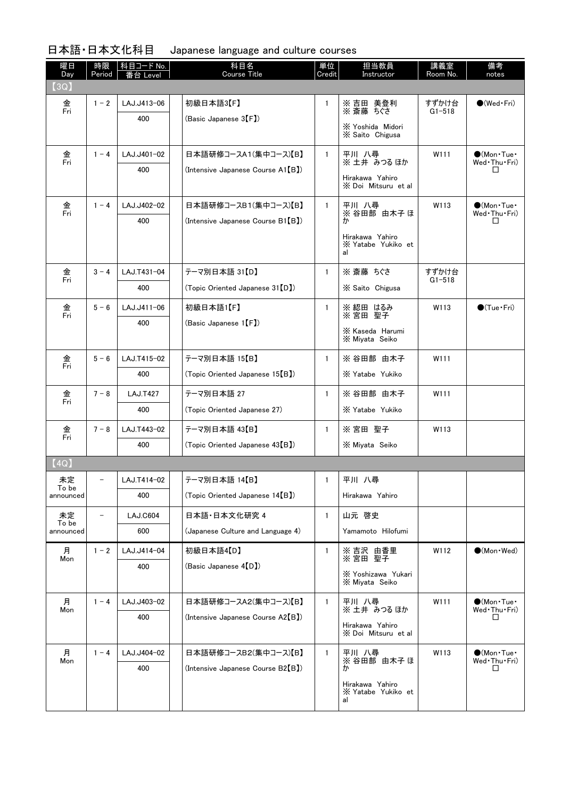| 曜日<br>Day   | 時限<br>Period | 科目コード No.<br>Level | 科目名<br><b>Course Title</b>                   | 単位<br>Credit | 担当教員<br>Instructor                          | 講義室<br>Room No.     | 備考<br>notes                         |
|-------------|--------------|--------------------|----------------------------------------------|--------------|---------------------------------------------|---------------------|-------------------------------------|
| (3Q)        |              |                    |                                              |              |                                             |                     |                                     |
| 金<br>Fri    | $1 - 2$      | LAJ.J413-06        | 初級日本語3【F】                                    | $\mathbf{1}$ | ※ 吉田 美登利<br>※ 斎藤 ちぐさ                        | すずかけ台<br>$G1 - 518$ | $\bigcirc$ (Wed · Fri)              |
|             |              | 400                | (Basic Japanese 3(F)                         |              | X Yoshida Midori<br>X Saito Chigusa         |                     |                                     |
| 金<br>Fri    | $1 - 4$      | LAJ.J401-02        | 日本語研修コースA1(集中コース)【B】                         | $\mathbf{1}$ | 平川 八尋<br>※ 土井 みつる ほか                        | W111                | $\bullet$ (Mon Tue<br>Wed Thu Fri)  |
|             |              | 400                | (Intensive Japanese Course A1 [B])           |              | Hirakawa Yahiro<br>X Doi Mitsuru et al      |                     | ப                                   |
| 金<br>Fri    | $1 - 4$      | LAJ.J402-02        | 日本語研修コースB1(集中コース)【B】                         | $\mathbf{1}$ | 平川 八尋<br>※ 谷田部 由木子 ほ                        | W113                | $\bullet$ (Mon Tue<br>Wed Thu Fri)  |
|             |              | 400                | (Intensive Japanese Course B1(B))            |              | ゕ                                           |                     | □                                   |
|             |              |                    |                                              |              | Hirakawa Yahiro<br>X Yatabe Yukiko et<br>al |                     |                                     |
| 金<br>Fri    | $3 - 4$      | LAJ.T431-04        | テーマ別日本語 31【D】                                | $\mathbf{1}$ | ※ 斎藤 ちぐさ                                    | すずかけ台<br>$G1 - 518$ |                                     |
|             |              | 400                | (Topic Oriented Japanese 31 [D])             |              | X Saito Chigusa                             |                     |                                     |
| 金<br>Fri    | $5 - 6$      | LAJ.J411-06        | 初級日本語1【F】                                    | $\mathbf{1}$ | ※ 綛田 はるみ<br>※ 宮田 聖子                         | W113                | $\bigcirc$ (Tue · Fri)              |
|             |              | 400                | (Basic Japanese $1(F)$ )                     |              | X Kaseda Harumi<br>X Miyata Seiko           |                     |                                     |
| 金<br>Fri    | $5 - 6$      | LAJ.T415-02        | テーマ別日本語 15【B】                                | $\mathbf{1}$ | ※ 谷田部 由木子                                   | W111                |                                     |
|             |              | 400                | (Topic Oriented Japanese 15 <sup>[B]</sup> ) |              | X Yatabe Yukiko                             |                     |                                     |
| 金<br>Fri    | $7 - 8$      | <b>LAJ.T427</b>    | テーマ別日本語 27                                   | $\mathbf{1}$ | ※ 谷田部 由木子                                   | W111                |                                     |
|             |              | 400                | (Topic Oriented Japanese 27)                 |              | X Yatabe Yukiko                             |                     |                                     |
| 金<br>Fri    | $7 - 8$      | LAJ.T443-02        | テーマ別日本語 43【B】                                | $\mathbf{1}$ | ※宮田 聖子                                      | W113                |                                     |
|             |              | 400                | (Topic Oriented Japanese 43 <sup>(B)</sup>   |              | X Miyata Seiko                              |                     |                                     |
| (4Q)        |              |                    |                                              |              |                                             |                     |                                     |
| 未定<br>To be |              | LAJ.T414-02        | テーマ別日本語 14【B】                                | 1            | 平川 八尋                                       |                     |                                     |
| announced   |              | 400                | (Topic Oriented Japanese 14[B])              |              | Hirakawa Yahiro                             |                     |                                     |
| 未定<br>To be |              | <b>LAJ.C604</b>    | 日本語·日本文化研究 4                                 | 1            | 山元 啓史                                       |                     |                                     |
| announced   |              | 600                | (Japanese Culture and Language 4)            |              | Yamamoto Hilofumi                           |                     |                                     |
| 月<br>Mon    | $1 - 2$      | LAJ.J414-04        | 初級日本語4【D】                                    | $\mathbf{1}$ | ※ 吉沢 由香里<br>※ 宮田 聖子                         | W112                | $\bullet$ (Mon Wed)                 |
|             |              | 400                | (Basic Japanese 4(D)                         |              | X Yoshizawa Yukari<br>X Miyata Seiko        |                     |                                     |
| 月<br>Mon    | $1 - 4$      | LAJ.J403-02        | 日本語研修コースA2(集中コース)【B】                         | $\mathbf{1}$ | 平川 八尋<br>※ 土井 みつる ほか                        | W111                | $\bigcirc$ (Mon Tue<br>Wed Thu Fri) |
|             |              | 400                | (Intensive Japanese Course A2(B))            |              | Hirakawa Yahiro<br>X Doi Mitsuru et al      |                     | □                                   |
| 月           | $1 - 4$      | LAJ.J404-02        | 日本語研修コースB2(集中コース)【B】                         | $\mathbf{1}$ | 平川 八尋                                       | W113                | $\bigcirc$ (Mon Tue $\cdot$         |
| Mon         |              | 400                | (Intensive Japanese Course B2(B))            |              | ※ 谷田部 由木子ほ<br>ゕ                             |                     | Wed Thu Fri)<br>□                   |
|             |              |                    |                                              |              | Hirakawa Yahiro<br>X Yatabe Yukiko et<br>al |                     |                                     |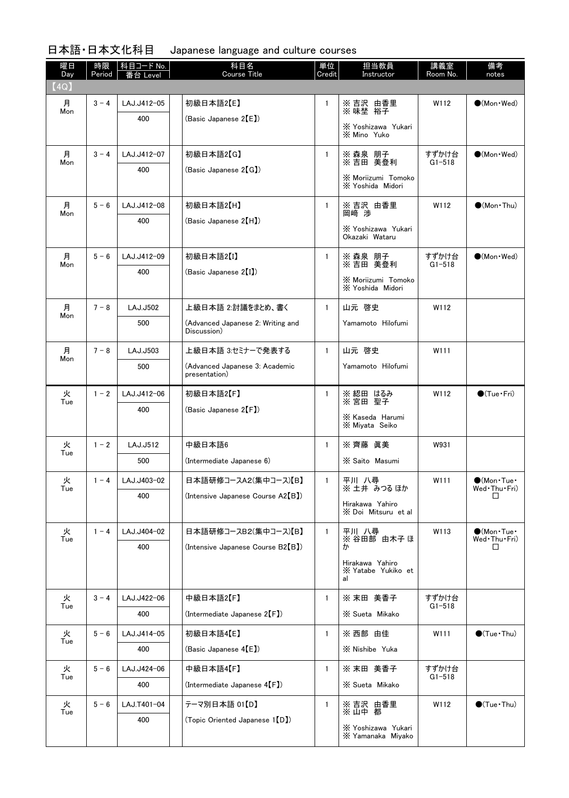| 曜日<br>Day | 時限<br>Period | 科目コード No.<br>eve | 科目名<br><b>Course Title</b>                       | 単位<br>Credit | 担当教員<br>Instructor                    | 講義室<br>Room No.     | 備考<br>notes                                        |
|-----------|--------------|------------------|--------------------------------------------------|--------------|---------------------------------------|---------------------|----------------------------------------------------|
| (4Q)      |              |                  |                                                  |              |                                       |                     |                                                    |
| 月<br>Mon  | $3 - 4$      | LAJ.J412-05      | 初級日本語2【E】                                        | $\mathbf{1}$ | ※ 吉沢 由香里<br>※味埜 裕子                    | W112                | $\bigcirc$ (Mon · Wed)                             |
|           |              | 400              | (Basic Japanese 2【E】)                            |              | X Yoshizawa Yukari                    |                     |                                                    |
|           |              |                  |                                                  |              | <b>X Mino Yuko</b>                    |                     |                                                    |
| 月<br>Mon  | $3 - 4$      | LAJ.J412-07      | 初級日本語2【G】                                        | $\mathbf{1}$ | ※ 森泉 朋子<br>※ 吉田 美登利                   | すずかけ台<br>$G1 - 518$ | $\bullet$ (Mon · Wed)                              |
|           |              | 400              | (Basic Japanese 2 <sup>[G]</sup> )               |              | <b>X Moriizumi Tomoko</b>             |                     |                                                    |
|           |              |                  |                                                  |              | X Yoshida Midori                      |                     |                                                    |
| 月         | $5 - 6$      | LAJ.J412-08      | 初級日本語2【H】                                        | $\mathbf{1}$ | ※吉沢 由香里<br>岡崎 渉                       | W112                | $\bigcirc$ (Mon Thu)                               |
| Mon       |              | 400              | (Basic Japanese 2[H])                            |              | X Yoshizawa Yukari                    |                     |                                                    |
|           |              |                  |                                                  |              | Okazaki Wataru                        |                     |                                                    |
| 月         | $5 - 6$      | LAJ.J412-09      | 初級日本語2【I】                                        | $\mathbf{1}$ | ※ 森泉 朋子<br>※ 吉田 美登利                   | すずかけ台               | $\bullet$ (Mon·Wed)                                |
| Mon       |              | 400              | (Basic Japanese 2 <sup>[1]</sup> )               |              | <b>X Moriizumi Tomoko</b>             | $G1 - 518$          |                                                    |
|           |              |                  |                                                  |              | X Yoshida Midori                      |                     |                                                    |
| 月<br>Mon  | $7 - 8$      | LAJ.J502         | 上級日本語 2.討議をまとめ、書く                                | $\mathbf{1}$ | 山元 啓史                                 | W112                |                                                    |
|           |              | 500              | (Advanced Japanese 2: Writing and<br>Discussion) |              | Yamamoto Hilofumi                     |                     |                                                    |
|           |              |                  | 上級日本語 3.セミナーで発表する                                |              | 山元 啓史                                 |                     |                                                    |
| 月<br>Mon  | $7 - 8$      | LAJ.J503<br>500  | (Advanced Japanese 3: Academic                   | $\mathbf{1}$ | Yamamoto Hilofumi                     | W111                |                                                    |
|           |              |                  | presentation)                                    |              |                                       |                     |                                                    |
| 火<br>Tue  | $1 - 2$      | LAJ.J412-06      | 初級日本語2【F】                                        | $\mathbf{1}$ | ※ 綛田 はるみ<br>※宮田 聖子                    | W112                | $\bigcirc$ (Tue · Fri)                             |
|           |              | 400              | (Basic Japanese 2 <sup>[F]</sup> )               |              | X Kaseda Harumi                       |                     |                                                    |
|           |              |                  |                                                  |              | X Miyata Seiko                        |                     |                                                    |
| 火<br>Tue  | $1 - 2$      | LAJ.J512         | 中級日本語6                                           | $\mathbf{1}$ | ※ 齊藤 眞美                               | W931                |                                                    |
|           |              | 500              | (Intermediate Japanese 6)                        |              | X Saito Masumi                        |                     |                                                    |
| 火<br>Tue  | $1 - 4$      | LAJ.J403-02      | 日本語研修コースA2(集中コース)【B】                             | 1            | 平川 八尋<br>※ 土井 みつるほか                   | W111                | $\bigcirc$ (Mon•Tue•<br>Wed Thu Fri)               |
|           |              | 400              | (Intensive Japanese Course A2 <sup>[B]</sup> )   |              | Hirakawa Yahiro                       |                     | □                                                  |
|           |              |                  |                                                  |              | X Doi Mitsuru et al                   |                     |                                                    |
| 火<br>Tue  | $1 - 4$      | LAJ.J404-02      | 日本語研修コースB2(集中コース)【B】                             | $\mathbf{1}$ | 平川 八尋<br>※ 谷田部 由木子 ほ                  | W113                | $\bullet$ (Mon $\cdot$ Tue $\cdot$<br>Wed Thu Fri) |
|           |              | 400              | (Intensive Japanese Course B2(B))                |              | ゕ                                     |                     | ◻                                                  |
|           |              |                  |                                                  |              | Hirakawa Yahiro<br>X Yatabe Yukiko et |                     |                                                    |
|           |              |                  |                                                  |              | al                                    |                     |                                                    |
| 火<br>Tue  | $3 - 4$      | LAJ.J422-06      | 中級日本語2【F】                                        | $\mathbf{1}$ | ※ 末田 美香子                              | すずかけ台<br>$G1 - 518$ |                                                    |
|           |              | 400              | (Intermediate Japanese 2 <sup>[F]</sup> )        |              | X Sueta Mikako                        |                     |                                                    |
| 火<br>Tue  | $5 - 6$      | LAJ.J414-05      | 初級日本語4【E】                                        | $\mathbf{1}$ | ※ 西部 由佳                               | W111                | $\bigcirc$ (Tue · Thu)                             |
|           |              | 400              | (Basic Japanese 4 <sup>[E]</sup> )               |              | X Nishibe Yuka                        |                     |                                                    |
| 火<br>Tue  | $5 - 6$      | LAJ.J424-06      | 中級日本語4【F】                                        | $\mathbf{1}$ | ※ 末田 美香子                              | すずかけ台<br>$G1 - 518$ |                                                    |
|           |              | 400              | (Intermediate Japanese 4(F)                      |              | X Sueta Mikako                        |                     |                                                    |
| 火         | $5 - 6$      | LAJ.T401-04      | テーマ別日本語 01【D】                                    | $\mathbf{1}$ | ※ 吉沢 由香里<br>※ 山中 都                    | W112                | $\bigcirc$ (Tue · Thu)                             |
| Tue       |              | 400              | (Topic Oriented Japanese 1 <sup>[D]</sup> )      |              | X Yoshizawa Yukari                    |                     |                                                    |
|           |              |                  |                                                  |              | X Yamanaka Miyako                     |                     |                                                    |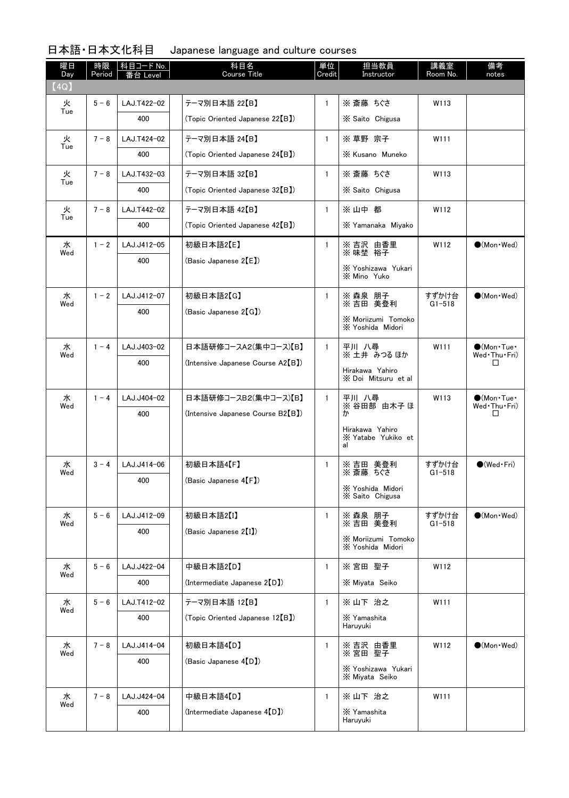| 曜日<br>Day | 時限<br>Period | 科目コード No.<br>Level | 科目名<br><b>Course Title</b>                  | 単位<br>Credit | 担当教員<br>Instructor                            | 講義室<br>Room No.     | 備考<br>notes                          |
|-----------|--------------|--------------------|---------------------------------------------|--------------|-----------------------------------------------|---------------------|--------------------------------------|
| (4Q)      |              |                    |                                             |              |                                               |                     |                                      |
| 火<br>Tue  | $5 - 6$      | LAJ.T422-02        | テーマ別日本語 22【B】                               | $\mathbf{1}$ | ※ 斎藤 ちぐさ                                      | W113                |                                      |
|           |              | 400                | (Topic Oriented Japanese 22 <sup>[B])</sup> |              | X Saito Chigusa                               |                     |                                      |
| 火         | $7 - 8$      | LAJ.T424-02        | テーマ別日本語 24【B】                               | $\mathbf{1}$ | ※ 草野 宗子                                       | W111                |                                      |
| Tue       |              | 400                | (Topic Oriented Japanese 24[B])             |              | X Kusano Muneko                               |                     |                                      |
| 火         | $7 - 8$      | LAJ.T432-03        | テーマ別日本語 32【B】                               | $\mathbf{1}$ | ※ 斎藤 ちぐさ                                      | W113                |                                      |
| Tue       |              | 400                | (Topic Oriented Japanese 32[B])             |              | X Saito Chigusa                               |                     |                                      |
| 火<br>Tue  | $7 - 8$      | LAJ.T442-02        | テーマ別日本語 42【B】                               | $\mathbf{1}$ | ※山中都                                          | W112                |                                      |
|           |              | 400                | (Topic Oriented Japanese 42 <sup>[B])</sup> |              | X Yamanaka Miyako                             |                     |                                      |
| 水<br>Wed  | $1 - 2$      | LAJ.J412-05        | 初級日本語2【E】                                   | $\mathbf{1}$ | ※ 吉沢 由香里<br>※ 味埜 裕子                           | W112                | $\bullet$ (Mon $\cdot$ Wed)          |
|           |              | 400                | (Basic Japanese 2【E】)                       |              | X Yoshizawa Yukari                            |                     |                                      |
|           |              |                    |                                             |              | <b>X Mino Yuko</b>                            |                     |                                      |
| 水<br>Wed  | $1 - 2$      | LAJ.J412-07        | 初級日本語2【G】                                   | $\mathbf{1}$ | ※ 森泉 朋子<br>※ 吉田 美登利                           | すずかけ台<br>$G1 - 518$ | $\bullet$ (Mon · Wed)                |
|           |              | 400                | (Basic Japanese 2【G】)                       |              | <b>X Moriizumi Tomoko</b>                     |                     |                                      |
|           |              |                    |                                             |              | X Yoshida Midori                              |                     |                                      |
| 水<br>Wed  | $1 - 4$      | LAJ.J403-02        | 日本語研修コースA2(集中コース)【B】                        | $\mathbf{1}$ | 平川 八尋<br>※ 土井 みつる ほか                          | W111                | $\bigcirc$ (Mon•Tue•<br>Wed Thu Fri) |
|           |              | 400                | (Intensive Japanese Course A2【B】)           |              | Hirakawa Yahiro                               |                     | ப                                    |
|           |              |                    |                                             |              | X Doi Mitsuru et al                           |                     |                                      |
| 水<br>Wed  | $1 - 4$      | LAJ.J404-02        | 日本語研修コースB2(集中コース)【B】                        | $\mathbf{1}$ | 平川 八尋<br>※ 谷田部 由木子 ほ                          | W113                | $\bigcirc$ (Mon•Tue•<br>Wed Thu Fri) |
|           |              | 400                | (Intensive Japanese Course B2【B】)           |              | ゕ                                             |                     | ப                                    |
|           |              |                    |                                             |              | Hirakawa Yahiro<br>X Yatabe Yukiko et<br>al   |                     |                                      |
|           |              | LAJ.J414-06        | 初級日本語4【F】                                   |              |                                               | すずかけ台               | $\bigcirc$ (Wed · Fri)               |
| 水<br>Wed  | $3 - 4$      | 400                | (Basic Japanese 4 <sup>[F]</sup> )          | 1            | ※ 吉田<br>美登利<br>※ 斎藤<br>ちぐさ                    | $G1 - 518$          |                                      |
|           |              |                    |                                             |              | X Yoshida Midori<br>X Saito Chigusa           |                     |                                      |
| 水         | $5 - 6$      | LAJ.J412-09        | 初級日本語2【I】                                   | $\mathbf{1}$ | ※ 森泉 朋子                                       | すずかけ台               | $\bullet$ (Mon Wed)                  |
| Wed       |              | 400                | (Basic Japanese 2【I】)                       |              | ※吉田 美登利                                       | $G1 - 518$          |                                      |
|           |              |                    |                                             |              | <b>X Moriizumi Tomoko</b><br>X Yoshida Midori |                     |                                      |
| 水         | $5 - 6$      | LAJ.J422-04        | 中級日本語2【D】                                   | $\mathbf{1}$ | ※ 宮田 聖子                                       | W112                |                                      |
| Wed       |              | 400                | (Intermediate Japanese 2 <sup>[D]</sup> )   |              | X Miyata Seiko                                |                     |                                      |
| 水         | $5 - 6$      | LAJ.T412-02        | テーマ別日本語 12【B】                               | $\mathbf{1}$ | ※ 山下 治之                                       | W111                |                                      |
| Wed       |              | 400                | (Topic Oriented Japanese 12[B])             |              | X Yamashita                                   |                     |                                      |
|           |              |                    |                                             |              | Haruyuki                                      |                     |                                      |
| 水<br>Wed  | $7 - 8$      | LAJ.J414-04        | 初級日本語4【D】                                   | $\mathbf{1}$ | ※ 吉沢 由香里<br>※ 宮田 聖子                           | W112                | $\bullet$ (Mon $\cdot$ Wed)          |
|           |              | 400                | (Basic Japanese 4【D】)                       |              | X Yoshizawa Yukari<br>X Miyata Seiko          |                     |                                      |
|           |              |                    |                                             |              |                                               |                     |                                      |
| 水<br>Wed  | $7 - 8$      | LAJ.J424-04<br>400 | 中級日本語4【D】<br>(Intermediate Japanese 4(D))   | $\mathbf{1}$ | ※ 山下 治之<br>X Yamashita                        | W111                |                                      |
|           |              |                    |                                             |              | Haruyuki                                      |                     |                                      |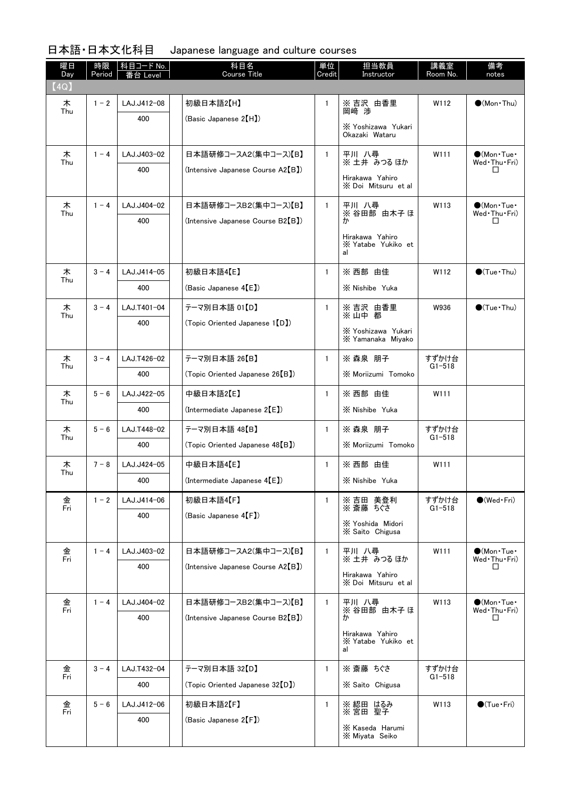| 曜日<br>Day | 時限<br>Period | │科目コード No.<br>を合 Level | 科目名<br><b>Course Title</b>                   | 単位<br>Credit | 担当教員<br>Instructor                          | 講義室<br>Room No.     | 備考<br>notes                                        |
|-----------|--------------|------------------------|----------------------------------------------|--------------|---------------------------------------------|---------------------|----------------------------------------------------|
| (4Q)      |              |                        |                                              |              |                                             |                     |                                                    |
| 木<br>Thu  | $1 - 2$      | LAJ.J412-08            | 初級日本語2【H】                                    | $\mathbf{1}$ | ※吉沢 由香里<br>岡崎 渉                             | W112                | $\bigcirc$ (Mon•Thu)                               |
|           |              | 400                    | (Basic Japanese 2 <sup>[H])</sup>            |              | X Yoshizawa Yukari<br>Okazaki Wataru        |                     |                                                    |
| 木         | $1 - 4$      | LAJ.J403-02            | 日本語研修コースA2(集中コース)【B】                         | $\mathbf{1}$ | 平川 八尋<br>※土井 みつるほか                          | W111                | $\bullet$ (Mon $\cdot$ Tue $\cdot$<br>Wed Thu Fri) |
| Thu       |              | 400                    | (Intensive Japanese Course A2(B))            |              | Hirakawa Yahiro                             |                     | ப                                                  |
|           |              |                        |                                              |              | X Doi Mitsuru et al                         |                     |                                                    |
| 木<br>Thu  | $1 - 4$      | LAJ.J404-02            | 日本語研修コースB2(集中コース)【B】                         | $\mathbf{1}$ | 平川 八尋<br>※ 谷田部 由木子 ほ                        | W113                | $\bullet$ (Mon Tue<br>Wed Thu Fri)                 |
|           |              | 400                    | (Intensive Japanese Course B2(B))            |              | ゕ                                           |                     | ப                                                  |
|           |              |                        |                                              |              | Hirakawa Yahiro<br>X Yatabe Yukiko et<br>al |                     |                                                    |
| 木<br>Thu  | $3 - 4$      | LAJ.J414-05            | 初級日本語4【E】                                    | $\mathbf{1}$ | ※ 西部 由佳                                     | W112                | $\bigcirc$ (Tue · Thu)                             |
|           |              | 400                    | (Basic Japanese $4(E)$ )                     |              | X Nishibe Yuka                              |                     |                                                    |
| 木<br>Thu  | $3 - 4$      | LAJ.T401-04            | テーマ別日本語 01【D】                                | $\mathbf{1}$ | ※ 吉沢 由香里<br>※ 山中 都                          | W936                | $\bigcirc$ (Tue · Thu)                             |
|           |              | 400                    | (Topic Oriented Japanese 1(D)                |              | X Yoshizawa Yukari                          |                     |                                                    |
|           |              |                        |                                              |              | X Yamanaka Miyako                           |                     |                                                    |
| 木<br>Thu  | $3 - 4$      | LAJ.T426-02            | テーマ別日本語 26【B】                                | $\mathbf{1}$ | ※ 森泉 朋子                                     | すずかけ台<br>$G1 - 518$ |                                                    |
|           |              | 400                    | (Topic Oriented Japanese 26 <sup>[B]</sup> ) |              | <b>X Moriizumi Tomoko</b>                   |                     |                                                    |
| 木<br>Thu  | $5 - 6$      | LAJ.J422-05            | 中級日本語2【E】                                    | $\mathbf{1}$ | ※ 西部 由佳                                     | W111                |                                                    |
|           |              | 400                    | (Intermediate Japanese 2(E))                 |              | X Nishibe Yuka                              |                     |                                                    |
| 木<br>Thu  | $5 - 6$      | LAJ.T448-02            | テーマ別日本語 48【B】                                | $\mathbf{1}$ | ※ 森泉 朋子                                     | すずかけ台<br>$G1 - 518$ |                                                    |
|           |              | 400                    | (Topic Oriented Japanese 48[B])              |              | <b>X Moriizumi Tomoko</b>                   |                     |                                                    |
| 木<br>Thu  | $7 - 8$      | LAJ.J424-05            | 中級日本語4【E】                                    | $\mathbf{1}$ | ※ 西部 由佳                                     | W111                |                                                    |
|           |              | 400                    | $($ Intermediate Japanese $4(E)$             |              | X Nishibe Yuka                              |                     |                                                    |
| 金<br>Fri  | $1 - 2$      | LAJ.J414-06            | 初級日本語4【F】                                    | 1            | ※ 吉田 美登利<br>※ 斎藤 ちぐさ                        | すずかけ台<br>$G1 - 518$ | $\bigcirc$ (Wed · Fri)                             |
|           |              | 400                    | (Basic Japanese 4 <sup>[F]</sup> )           |              | X Yoshida Midori<br>X Saito Chigusa         |                     |                                                    |
|           |              |                        | 日本語研修コースA2(集中コース)【B】                         |              | 平川 八尋                                       |                     |                                                    |
| 金<br>Fri  | $1 - 4$      | LAJ.J403-02<br>400     | (Intensive Japanese Course A2(B))            | $\mathbf{1}$ | ※ 土井 みつる ほか                                 | W <sub>111</sub>    | $\bigcirc$ (Mon•Tue•<br>Wed Thu Fri)<br>ப          |
|           |              |                        |                                              |              | Hirakawa Yahiro<br>X Doi Mitsuru et al      |                     |                                                    |
| 金<br>Fri  | $1 - 4$      | LAJ.J404-02            | 日本語研修コースB2(集中コース)【B】                         | $\mathbf{1}$ | 平川 八尋                                       | W113                | $\bigcirc$ (Mon·Tue·                               |
|           |              | 400                    | (Intensive Japanese Course B2(B))            |              | ※ 谷田部 由木子 ほ<br>ゕ                            |                     | Wed Thu Fri)<br>ப                                  |
|           |              |                        |                                              |              | Hirakawa Yahiro<br>X Yatabe Yukiko et<br>al |                     |                                                    |
| 金         | $3 - 4$      | LAJ.T432-04            | テーマ別日本語 32【D】                                | $\mathbf{1}$ | ※ 斎藤 ちぐさ                                    | すずかけ台               |                                                    |
| Fri       |              | 400                    | (Topic Oriented Japanese 32 <sup>(D)</sup>   |              | X Saito Chigusa                             | $G1 - 518$          |                                                    |
| 金<br>Fri  | $5 - 6$      | LAJ.J412-06            | 初級日本語2【F】                                    | $\mathbf{1}$ | ※ 綛田 はるみ<br>※ 宮田 聖子                         | W113                | $\bigcirc$ (Tue•Fri)                               |
|           |              | 400                    | (Basic Japanese 2 <sup>[F]</sup> )           |              | X Kaseda Harumi                             |                     |                                                    |
|           |              |                        |                                              |              | X Miyata Seiko                              |                     |                                                    |